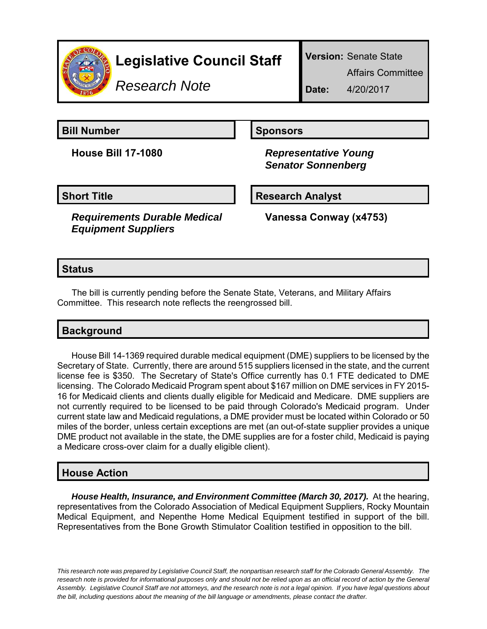

# **Legislative Council Staff**

*Research Note*

**Version:** Senate State

Affairs Committee

**Date:** 4/20/2017

**Bill Number Sponsors** 

**House Bill 17-1080** *Representative Young Senator Sonnenberg*

#### **Short Title Research Analyst**

*Requirements Durable Medical Equipment Suppliers*

**Vanessa Conway (x4753)**

#### **Status**

 The bill is currently pending before the Senate State, Veterans, and Military Affairs Committee. This research note reflects the reengrossed bill.

## **Background**

House Bill 14-1369 required durable medical equipment (DME) suppliers to be licensed by the Secretary of State. Currently, there are around 515 suppliers licensed in the state, and the current license fee is \$350. The Secretary of State's Office currently has 0.1 FTE dedicated to DME licensing. The Colorado Medicaid Program spent about \$167 million on DME services in FY 2015- 16 for Medicaid clients and clients dually eligible for Medicaid and Medicare. DME suppliers are not currently required to be licensed to be paid through Colorado's Medicaid program. Under current state law and Medicaid regulations, a DME provider must be located within Colorado or 50 miles of the border, unless certain exceptions are met (an out-of-state supplier provides a unique DME product not available in the state, the DME supplies are for a foster child, Medicaid is paying a Medicare cross-over claim for a dually eligible client).

### **House Action**

*House Health, Insurance, and Environment Committee (March 30, 2017).* **At the hearing,** representatives from the Colorado Association of Medical Equipment Suppliers, Rocky Mountain Medical Equipment, and Nepenthe Home Medical Equipment testified in support of the bill. Representatives from the Bone Growth Stimulator Coalition testified in opposition to the bill.

*This research note was prepared by Legislative Council Staff, the nonpartisan research staff for the Colorado General Assembly. The research note is provided for informational purposes only and should not be relied upon as an official record of action by the General Assembly. Legislative Council Staff are not attorneys, and the research note is not a legal opinion. If you have legal questions about the bill, including questions about the meaning of the bill language or amendments, please contact the drafter.*